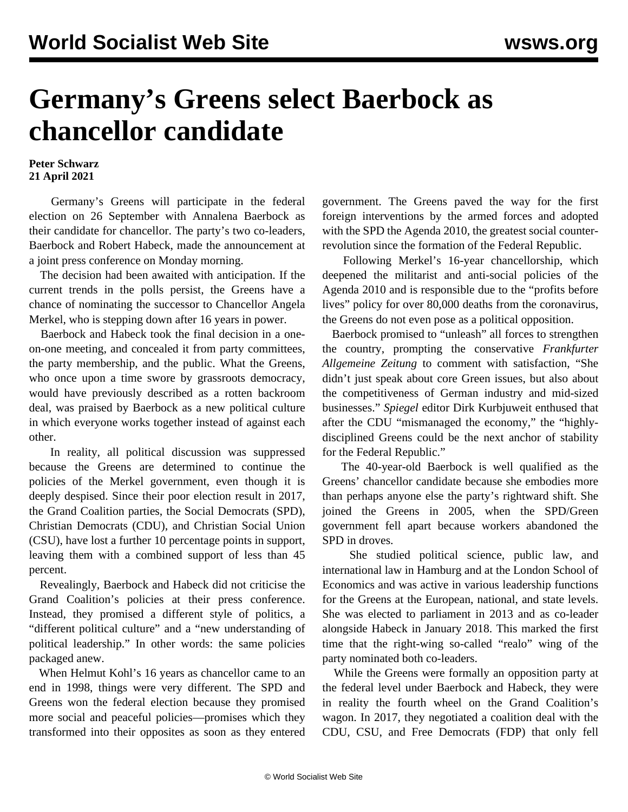## **Germany's Greens select Baerbock as chancellor candidate**

## **Peter Schwarz 21 April 2021**

 Germany's Greens will participate in the federal election on 26 September with Annalena Baerbock as their candidate for chancellor. The party's two co-leaders, Baerbock and Robert Habeck, made the announcement at a joint press conference on Monday morning.

 The decision had been awaited with anticipation. If the current trends in the polls persist, the Greens have a chance of nominating the successor to Chancellor Angela Merkel, who is stepping down after 16 years in power.

 Baerbock and Habeck took the final decision in a oneon-one meeting, and concealed it from party committees, the party membership, and the public. What the Greens, who once upon a time swore by grassroots democracy, would have previously described as a rotten backroom deal, was praised by Baerbock as a new political culture in which everyone works together instead of against each other.

 In reality, all political discussion was suppressed because the Greens are determined to continue the policies of the Merkel government, even though it is deeply despised. Since their poor election result in 2017, the Grand Coalition parties, the Social Democrats (SPD), Christian Democrats (CDU), and Christian Social Union (CSU), have lost a further 10 percentage points in support, leaving them with a combined support of less than 45 percent.

 Revealingly, Baerbock and Habeck did not criticise the Grand Coalition's policies at their press conference. Instead, they promised a different style of politics, a "different political culture" and a "new understanding of political leadership." In other words: the same policies packaged anew.

 When Helmut Kohl's 16 years as chancellor came to an end in 1998, things were very different. The SPD and Greens won the federal election because they promised more social and peaceful policies—promises which they transformed into their opposites as soon as they entered government. The Greens paved the way for the first foreign interventions by the armed forces and adopted with the SPD the Agenda 2010, the greatest social counterrevolution since the formation of the Federal Republic.

 Following Merkel's 16-year chancellorship, which deepened the militarist and anti-social policies of the Agenda 2010 and is responsible due to the "profits before lives" policy for over 80,000 deaths from the coronavirus, the Greens do not even pose as a political opposition.

 Baerbock promised to "unleash" all forces to strengthen the country, prompting the conservative *Frankfurter Allgemeine Zeitung* to comment with satisfaction, "She didn't just speak about core Green issues, but also about the competitiveness of German industry and mid-sized businesses." *Spiegel* editor Dirk Kurbjuweit enthused that after the CDU "mismanaged the economy," the "highlydisciplined Greens could be the next anchor of stability for the Federal Republic."

 The 40-year-old Baerbock is well qualified as the Greens' chancellor candidate because she embodies more than perhaps anyone else the party's rightward shift. She joined the Greens in 2005, when the SPD/Green government fell apart because workers abandoned the SPD in droves.

 She studied political science, public law, and international law in Hamburg and at the London School of Economics and was active in various leadership functions for the Greens at the European, national, and state levels. She was elected to parliament in 2013 and as co-leader alongside Habeck in January 2018. This marked the first time that the right-wing so-called "realo" wing of the party nominated both co-leaders.

 While the Greens were formally an opposition party at the federal level under Baerbock and Habeck, they were in reality the fourth wheel on the Grand Coalition's wagon. In 2017, they negotiated a coalition deal with the CDU, CSU, and Free Democrats (FDP) that only fell